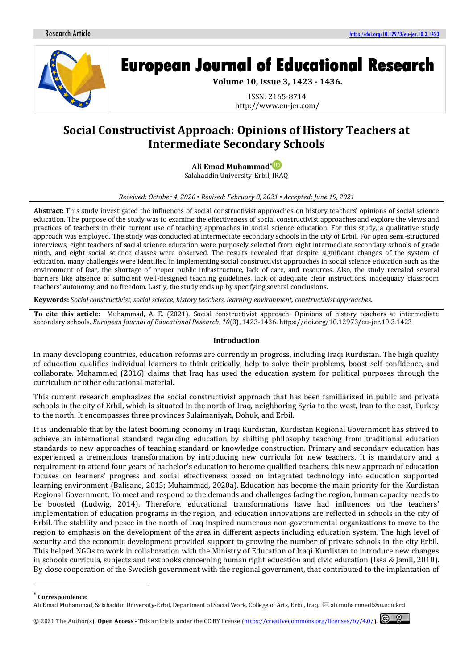

# **European Journal of Educational Research**

**Volume 10, Issue 3, 1423 - 1436.**

ISSN: 2165-8714 http://www.eu-jer.com/

# **Social Constructivist Approach: Opinions of History Teachers at Intermediate Secondary Schools**

**Ali Emad Muhamma[d](https://orcid.org/0000-0001-7478-3085)\*** Salahaddin University-Erbil, IRAQ

#### *Received: October 4, 2020 ▪ Revised: February 8, 2021 ▪ Accepted: June 19, 2021*

**Abstract:** This study investigated the influences of social constructivist approaches on history teachers' opinions of social science education. The purpose of the study was to examine the effectiveness of social constructivist approaches and explore the views and practices of teachers in their current use of teaching approaches in social science education. For this study, a qualitative study approach was employed. The study was conducted at intermediate secondary schools in the city of Erbil. For open semi-structured interviews, eight teachers of social science education were purposely selected from eight intermediate secondary schools of grade ninth, and eight social science classes were observed. The results revealed that despite significant changes of the system of education, many challenges were identified in implementing social constructivist approaches in social science education such as the environment of fear, the shortage of proper public infrastructure, lack of care, and resources. Also, the study revealed several barriers like absence of sufficient well-designed teaching guidelines, lack of adequate clear instructions, inadequacy classroom teachers' autonomy, and no freedom. Lastly, the study ends up by specifying several conclusions.

**Keywords:** *Social constructivist, social science, history teachers, learning environment, constructivist approaches.*

**To cite this article:** Muhammad, A. E. (2021). Social constructivist approach: Opinions of history teachers at intermediate secondary schools. *European Journal of Educational Research*, *10*(3), 1423-1436. https://doi.org/10.12973/eu-jer.10.3.1423

#### **Introduction**

In many developing countries, education reforms are currently in progress, including Iraqi Kurdistan. The high quality of education qualifies individual learners to think critically, help to solve their problems, boost self-confidence, and collaborate. Mohammed (2016) claims that Iraq has used the education system for political purposes through the curriculum or other educational material.

This current research emphasizes the social constructivist approach that has been familiarized in public and private schools in the city of Erbil, which is situated in the north of Iraq, neighboring Syria to the west, Iran to the east, Turkey to the north. It encompasses three provinces Sulaimaniyah, Dohuk, and Erbil.

It is undeniable that by the latest booming economy in Iraqi Kurdistan, Kurdistan Regional Government has strived to achieve an international standard regarding education by shifting philosophy teaching from traditional education standards to new approaches of teaching standard or knowledge construction. Primary and secondary education has experienced a tremendous transformation by introducing new curricula for new teachers. It is mandatory and a requirement to attend four years of bachelor's education to become qualified teachers, this new approach of education focuses on learners' progress and social effectiveness based on integrated technology into education supported learning environment (Balisane, 2015; Muhammad, 2020a). Education has become the main priority for the Kurdistan Regional Government. To meet and respond to the demands and challenges facing the region, human capacity needs to be boosted (Ludwig, 2014). Therefore, educational transformations have had influences on the teachers' implementation of education programs in the region, and education innovations are reflected in schools in the city of Erbil. The stability and peace in the north of Iraq inspired numerous non-governmental organizations to move to the region to emphasis on the development of the area in different aspects including education system. The high level of security and the economic development provided support to growing the number of private schools in the city Erbil. This helped NGOs to work in collaboration with the Ministry of Education of Iraqi Kurdistan to introduce new changes in schools curricula, subjects and textbooks concerning human right education and civic education (Issa & Jamil, 2010). By close cooperation of the Swedish government with the regional government, that contributed to the implantation of

 $\overline{\phantom{a}}$ 



<sup>\*</sup>  **Correspondence:**

Ali Emad Muhammad, Salahaddin University-Erbil, Department of Social Work, College of Arts, Erbil, Iraq. ali.muhammed@su.edu.krd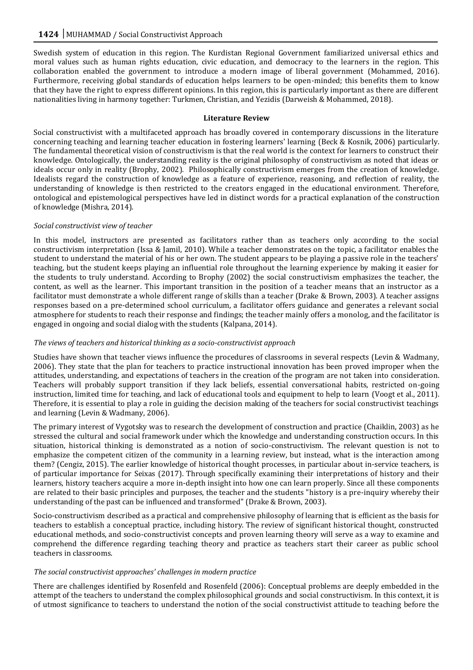Swedish system of education in this region. The Kurdistan Regional Government familiarized universal ethics and moral values such as human rights education, civic education, and democracy to the learners in the region. This collaboration enabled the government to introduce a modern image of liberal government (Mohammed, 2016). Furthermore, receiving global standards of education helps learners to be open-minded; this benefits them to know that they have the right to express different opinions. In this region, this is particularly important as there are different nationalities living in harmony together: Turkmen, Christian, and Yezidis (Darweish & Mohammed, 2018).

# **Literature Review**

Social constructivist with a multifaceted approach has broadly covered in contemporary discussions in the literature concerning teaching and learning teacher education in fostering learners' learning (Beck & Kosnik, 2006) particularly. The fundamental theoretical vision of constructivism is that the real world is the context for learners to construct their knowledge. Ontologically, the understanding reality is the original philosophy of constructivism as noted that ideas or ideals occur only in reality (Brophy, 2002). Philosophically constructivism emerges from the creation of knowledge. Idealists regard the construction of knowledge as a feature of experience, reasoning, and reflection of reality, the understanding of knowledge is then restricted to the creators engaged in the educational environment. Therefore, ontological and epistemological perspectives have led in distinct words for a practical explanation of the construction of knowledge (Mishra, 2014).

# *Social constructivist view of teacher*

In this model, instructors are presented as facilitators rather than as teachers only according to the social constructivism interpretation (Issa & Jamil, 2010). While a teacher demonstrates on the topic, a facilitator enables the student to understand the material of his or her own. The student appears to be playing a passive role in the teachers' teaching, but the student keeps playing an influential role throughout the learning experience by making it easier for the students to truly understand. According to Brophy (2002) the social constructivism emphasizes the teacher, the content, as well as the learner. This important transition in the position of a teacher means that an instructor as a facilitator must demonstrate a whole different range of skills than a teacher (Drake & Brown, 2003). A teacher assigns responses based on a pre-determined school curriculum, a facilitator offers guidance and generates a relevant social atmosphere for students to reach their response and findings; the teacher mainly offers a monolog, and the facilitator is engaged in ongoing and social dialog with the students (Kalpana, 2014).

# *The views of teachers and historical thinking as a socio-constructivist approach*

Studies have shown that teacher views influence the procedures of classrooms in several respects (Levin & Wadmany, 2006). They state that the plan for teachers to practice instructional innovation has been proved improper when the attitudes, understanding, and expectations of teachers in the creation of the program are not taken into consideration. Teachers will probably support transition if they lack beliefs, essential conversational habits, restricted on-going instruction, limited time for teaching, and lack of educational tools and equipment to help to learn (Voogt et al., 2011). Therefore, it is essential to play a role in guiding the decision making of the teachers for social constructivist teachings and learning (Levin & Wadmany, 2006).

The primary interest of Vygotsky was to research the development of construction and practice (Chaiklin, 2003) as he stressed the cultural and social framework under which the knowledge and understanding construction occurs. In this situation, historical thinking is demonstrated as a notion of socio-constructivism. The relevant question is not to emphasize the competent citizen of the community in a learning review, but instead, what is the interaction among them? (Cengiz, 2015). The earlier knowledge of historical thought processes, in particular about in-service teachers, is of particular importance for Seixas (2017). Through specifically examining their interpretations of history and their learners, history teachers acquire a more in-depth insight into how one can learn properly. Since all these components are related to their basic principles and purposes, the teacher and the students "history is a pre-inquiry whereby their understanding of the past can be influenced and transformed" (Drake & Brown, 2003).

Socio-constructivism described as a practical and comprehensive philosophy of learning that is efficient as the basis for teachers to establish a conceptual practice, including history. The review of significant historical thought, constructed educational methods, and socio-constructivist concepts and proven learning theory will serve as a way to examine and comprehend the difference regarding teaching theory and practice as teachers start their career as public school teachers in classrooms.

# *The social constructivist approaches' challenges in modern practice*

There are challenges identified by Rosenfeld and Rosenfeld (2006): Conceptual problems are deeply embedded in the attempt of the teachers to understand the complex philosophical grounds and social constructivism. In this context, it is of utmost significance to teachers to understand the notion of the social constructivist attitude to teaching before the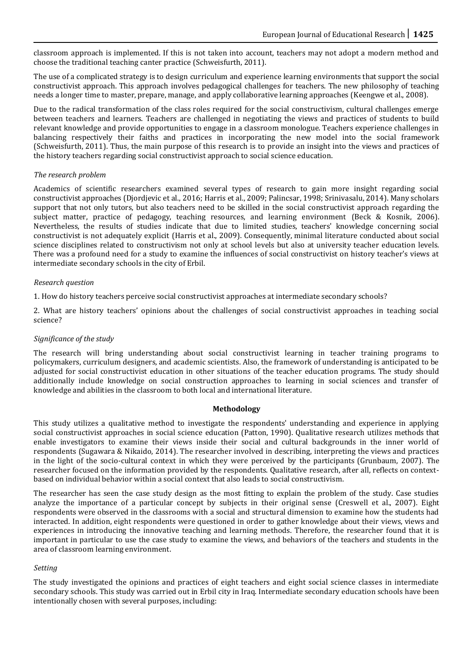classroom approach is implemented. If this is not taken into account, teachers may not adopt a modern method and choose the traditional teaching canter practice (Schweisfurth, 2011).

The use of a complicated strategy is to design curriculum and experience learning environments that support the social constructivist approach. This approach involves pedagogical challenges for teachers. The new philosophy of teaching needs a longer time to master, prepare, manage, and apply collaborative learning approaches (Keengwe et al., 2008).

Due to the radical transformation of the class roles required for the social constructivism, cultural challenges emerge between teachers and learners. Teachers are challenged in negotiating the views and practices of students to build relevant knowledge and provide opportunities to engage in a classroom monologue. Teachers experience challenges in balancing respectively their faiths and practices in incorporating the new model into the social framework (Schweisfurth, 2011). Thus, the main purpose of this research is to provide an insight into the views and practices of the history teachers regarding social constructivist approach to social science education.

# *The research problem*

Academics of scientific researchers examined several types of research to gain more insight regarding social constructivist approaches (Djordjevic et al., 2016; Harris et al., 2009; Palincsar, 1998; Srinivasalu, 2014). Many scholars support that not only tutors, but also teachers need to be skilled in the social constructivist approach regarding the subject matter, practice of pedagogy, teaching resources, and learning environment (Beck & Kosnik, 2006). Nevertheless, the results of studies indicate that due to limited studies, teachers' knowledge concerning social constructivist is not adequately explicit (Harris et al., 2009). Consequently, minimal literature conducted about social science disciplines related to constructivism not only at school levels but also at university teacher education levels. There was a profound need for a study to examine the influences of social constructivist on history teacher's views at intermediate secondary schools in the city of Erbil.

# *Research question*

1. How do history teachers perceive social constructivist approaches at intermediate secondary schools?

2. What are history teachers' opinions about the challenges of social constructivist approaches in teaching social science?

# *Significance of the study*

The research will bring understanding about social constructivist learning in teacher training programs to policymakers, curriculum designers, and academic scientists. Also, the framework of understanding is anticipated to be adjusted for social constructivist education in other situations of the teacher education programs. The study should additionally include knowledge on social construction approaches to learning in social sciences and transfer of knowledge and abilities in the classroom to both local and international literature.

#### **Methodology**

This study utilizes a qualitative method to investigate the respondents' understanding and experience in applying social constructivist approaches in social science education (Patton, 1990). Qualitative research utilizes methods that enable investigators to examine their views inside their social and cultural backgrounds in the inner world of respondents (Sugawara & Nikaido, 2014). The researcher involved in describing, interpreting the views and practices in the light of the socio-cultural context in which they were perceived by the participants (Grunbaum, 2007). The researcher focused on the information provided by the respondents. Qualitative research, after all, reflects on contextbased on individual behavior within a social context that also leads to social constructivism.

The researcher has seen the case study design as the most fitting to explain the problem of the study. Case studies analyze the importance of a particular concept by subjects in their original sense (Creswell et al., 2007). Eight respondents were observed in the classrooms with a social and structural dimension to examine how the students had interacted. In addition, eight respondents were questioned in order to gather knowledge about their views, views and experiences in introducing the innovative teaching and learning methods. Therefore, the researcher found that it is important in particular to use the case study to examine the views, and behaviors of the teachers and students in the area of classroom learning environment.

# *Setting*

The study investigated the opinions and practices of eight teachers and eight social science classes in intermediate secondary schools. This study was carried out in Erbil city in Iraq. Intermediate secondary education schools have been intentionally chosen with several purposes, including: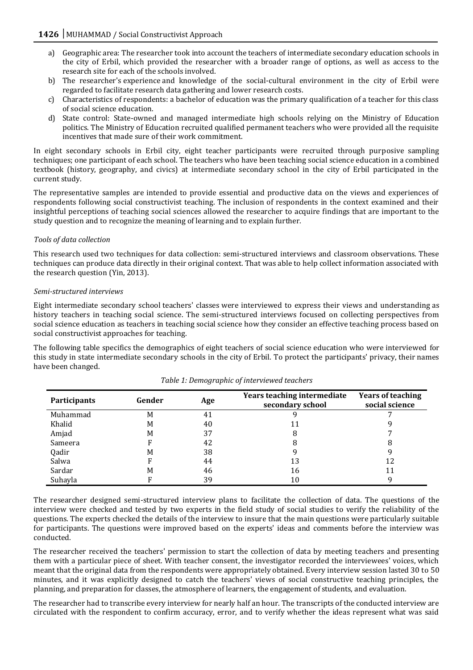- a) Geographic area: The researcher took into account the teachers of intermediate secondary education schools in the city of Erbil, which provided the researcher with a broader range of options, as well as access to the research site for each of the schools involved.
- b) The researcher's experience and knowledge of the social-cultural environment in the city of Erbil were regarded to facilitate research data gathering and lower research costs.
- c) Characteristics of respondents: a bachelor of education was the primary qualification of a teacher for this class of social science education.
- d) State control: State-owned and managed intermediate high schools relying on the Ministry of Education politics. The Ministry of Education recruited qualified permanent teachers who were provided all the requisite incentives that made sure of their work commitment.

In eight secondary schools in Erbil city, eight teacher participants were recruited through purposive sampling techniques; one participant of each school. The teachers who have been teaching social science education in a combined textbook (history, geography, and civics) at intermediate secondary school in the city of Erbil participated in the current study.

The representative samples are intended to provide essential and productive data on the views and experiences of respondents following social constructivist teaching. The inclusion of respondents in the context examined and their insightful perceptions of teaching social sciences allowed the researcher to acquire findings that are important to the study question and to recognize the meaning of learning and to explain further.

# *Tools of data collection*

This research used two techniques for data collection: semi-structured interviews and classroom observations. These techniques can produce data directly in their original context. That was able to help collect information associated with the research question (Yin, 2013).

# *Semi-structured interviews*

Eight intermediate secondary school teachers' classes were interviewed to express their views and understanding as history teachers in teaching social science. The semi-structured interviews focused on collecting perspectives from social science education as teachers in teaching social science how they consider an effective teaching process based on social constructivist approaches for teaching.

The following table specifics the demographics of eight teachers of social science education who were interviewed for this study in state intermediate secondary schools in the city of Erbil. To protect the participants' privacy, their names have been changed.

| Participants | Gender | Age | Years teaching intermediate<br>secondary school | <b>Years of teaching</b><br>social science |
|--------------|--------|-----|-------------------------------------------------|--------------------------------------------|
| Muhammad     | M      | 41  |                                                 |                                            |
| Khalid       | M      | 40  |                                                 |                                            |
| Amjad        | M      | 37  |                                                 |                                            |
| Sameera      | F      | 42  |                                                 |                                            |
| Qadir        | M      | 38  |                                                 |                                            |
| Salwa        | F      | 44  | 13                                              | 12                                         |
| Sardar       | M      | 46  | 16                                              | 11                                         |
| Suhayla      |        | 39  | 10                                              |                                            |

*Table 1: Demographic of interviewed teachers*

The researcher designed semi-structured interview plans to facilitate the collection of data. The questions of the interview were checked and tested by two experts in the field study of social studies to verify the reliability of the questions. The experts checked the details of the interview to insure that the main questions were particularly suitable for participants. The questions were improved based on the experts' ideas and comments before the interview was conducted.

The researcher received the teachers' permission to start the collection of data by meeting teachers and presenting them with a particular piece of sheet. With teacher consent, the investigator recorded the interviewees' voices, which meant that the original data from the respondents were appropriately obtained. Every interview session lasted 30 to 50 minutes, and it was explicitly designed to catch the teachers' views of social constructive teaching principles, the planning, and preparation for classes, the atmosphere of learners, the engagement of students, and evaluation.

The researcher had to transcribe every interview for nearly half an hour. The transcripts of the conducted interview are circulated with the respondent to confirm accuracy, error, and to verify whether the ideas represent what was said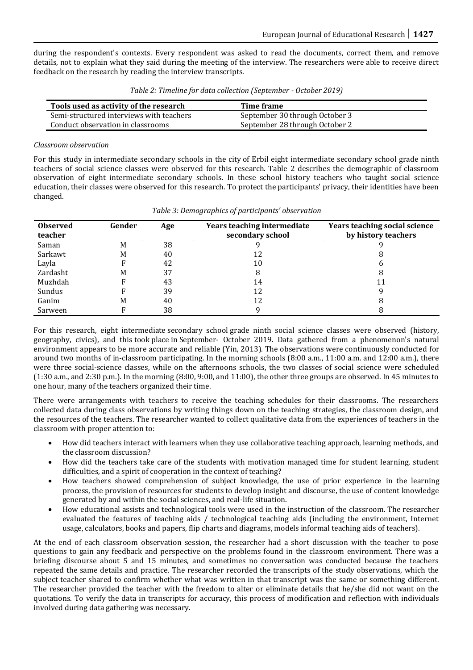during the respondent's contexts. Every respondent was asked to read the documents, correct them, and remove details, not to explain what they said during the meeting of the interview. The researchers were able to receive direct feedback on the research by reading the interview transcripts.

| Tools used as activity of the research   | Time frame                     |
|------------------------------------------|--------------------------------|
| Semi-structured interviews with teachers | September 30 through October 3 |
| Conduct observation in classrooms        | September 28 through October 2 |

# *Classroom observation*

For this study in intermediate secondary schools in the city of Erbil eight intermediate secondary school grade ninth teachers of social science classes were observed for this research. Table 2 describes the demographic of classroom observation of eight intermediate secondary schools. In these school history teachers who taught social science education, their classes were observed for this research. To protect the participants' privacy, their identities have been changed.

| <b>Observed</b><br>teacher | Gender | Age | Years teaching intermediate<br>secondary school | <b>Years teaching social science</b><br>by history teachers |
|----------------------------|--------|-----|-------------------------------------------------|-------------------------------------------------------------|
| Saman                      | M      | 38  |                                                 |                                                             |
| Sarkawt                    | M      | 40  | 12                                              | 8                                                           |
| Layla                      |        | 42  | 10                                              | h                                                           |
| Zardasht                   | M      | 37  |                                                 | 8                                                           |
| Muzhdah                    | F      | 43  | 14                                              | 11                                                          |
| Sundus                     |        | 39  | 12                                              |                                                             |
| Ganim                      | M      | 40  | 12                                              | 8                                                           |
| Sarween                    |        | 38  |                                                 |                                                             |

#### *Table 3: Demographics of participants' observation*

For this research, eight intermediate secondary school grade ninth social science classes were observed (history, geography, civics), and this took place in September- October 2019. Data gathered from a phenomenon's natural environment appears to be more accurate and reliable (Yin, 2013). The observations were continuously conducted for around two months of in-classroom participating. In the morning schools (8:00 a.m., 11:00 a.m. and 12:00 a.m.), there were three social-science classes, while on the afternoons schools, the two classes of social science were scheduled (1:30 a.m., and 2:30 p.m.). In the morning (8:00, 9:00, and 11:00), the other three groups are observed. In 45 minutes to one hour, many of the teachers organized their time.

There were arrangements with teachers to receive the teaching schedules for their classrooms. The researchers collected data during class observations by writing things down on the teaching strategies, the classroom design, and the resources of the teachers. The researcher wanted to collect qualitative data from the experiences of teachers in the classroom with proper attention to:

- How did teachers interact with learners when they use collaborative teaching approach, learning methods, and the classroom discussion?
- How did the teachers take care of the students with motivation managed time for student learning, student difficulties, and a spirit of cooperation in the context of teaching?
- How teachers showed comprehension of subject knowledge, the use of prior experience in the learning process, the provision of resources for students to develop insight and discourse, the use of content knowledge generated by and within the social sciences, and real-life situation.
- How educational assists and technological tools were used in the instruction of the classroom. The researcher evaluated the features of teaching aids / technological teaching aids (including the environment, Internet usage, calculators, books and papers, flip charts and diagrams, models informal teaching aids of teachers).

At the end of each classroom observation session, the researcher had a short discussion with the teacher to pose questions to gain any feedback and perspective on the problems found in the classroom environment. There was a briefing discourse about 5 and 15 minutes, and sometimes no conversation was conducted because the teachers repeated the same details and practice. The researcher recorded the transcripts of the study observations, which the subject teacher shared to confirm whether what was written in that transcript was the same or something different. The researcher provided the teacher with the freedom to alter or eliminate details that he/she did not want on the quotations. To verify the data in transcripts for accuracy, this process of modification and reflection with individuals involved during data gathering was necessary.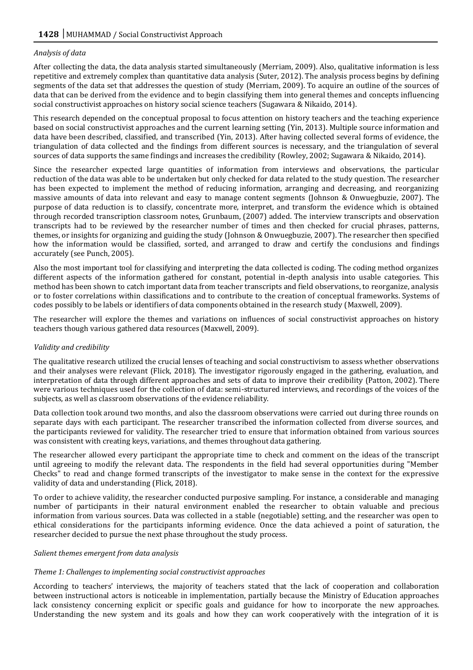# *Analysis of data*

After collecting the data, the data analysis started simultaneously (Merriam, 2009). Also, qualitative information is less repetitive and extremely complex than quantitative data analysis (Suter, 2012). The analysis process begins by defining segments of the data set that addresses the question of study (Merriam, 2009). To acquire an outline of the sources of data that can be derived from the evidence and to begin classifying them into general themes and concepts influencing social constructivist approaches on history social science teachers (Sugawara & Nikaido, 2014).

This research depended on the conceptual proposal to focus attention on history teachers and the teaching experience based on social constructivist approaches and the current learning setting (Yin, 2013). Multiple source information and data have been described, classified, and transcribed (Yin, 2013). After having collected several forms of evidence, the triangulation of data collected and the findings from different sources is necessary, and the triangulation of several sources of data supports the same findings and increases the credibility (Rowley, 2002; Sugawara & Nikaido, 2014).

Since the researcher expected large quantities of information from interviews and observations, the particular reduction of the data was able to be undertaken but only checked for data related to the study question. The researcher has been expected to implement the method of reducing information, arranging and decreasing, and reorganizing massive amounts of data into relevant and easy to manage content segments (Johnson & Onwuegbuzie, 2007). The purpose of data reduction is to classify, concentrate more, interpret, and transform the evidence which is obtained through recorded transcription classroom notes, Grunbaum, (2007) added. The interview transcripts and observation transcripts had to be reviewed by the researcher number of times and then checked for crucial phrases, patterns, themes, or insights for organizing and guiding the study (Johnson & Onwuegbuzie, 2007). The researcher then specified how the information would be classified, sorted, and arranged to draw and certify the conclusions and findings accurately (see Punch, 2005).

Also the most important tool for classifying and interpreting the data collected is coding. The coding method organizes different aspects of the information gathered for constant, potential in-depth analysis into usable categories. This method has been shown to catch important data from teacher transcripts and field observations, to reorganize, analysis or to foster correlations within classifications and to contribute to the creation of conceptual frameworks. Systems of codes possibly to be labels or identifiers of data components obtained in the research study (Maxwell, 2009).

The researcher will explore the themes and variations on influences of social constructivist approaches on history teachers though various gathered data resources (Maxwell, 2009).

#### *Validity and credibility*

The qualitative research utilized the crucial lenses of teaching and social constructivism to assess whether observations and their analyses were relevant (Flick, 2018). The investigator rigorously engaged in the gathering, evaluation, and interpretation of data through different approaches and sets of data to improve their credibility (Patton, 2002). There were various techniques used for the collection of data: semi-structured interviews, and recordings of the voices of the subjects, as well as classroom observations of the evidence reliability.

Data collection took around two months, and also the classroom observations were carried out during three rounds on separate days with each participant. The researcher transcribed the information collected from diverse sources, and the participants reviewed for validity. The researcher tried to ensure that information obtained from various sources was consistent with creating keys, variations, and themes throughout data gathering.

The researcher allowed every participant the appropriate time to check and comment on the ideas of the transcript until agreeing to modify the relevant data. The respondents in the field had several opportunities during "Member Checks" to read and change formed transcripts of the investigator to make sense in the context for the expressive validity of data and understanding (Flick, 2018).

To order to achieve validity, the researcher conducted purposive sampling. For instance, a considerable and managing number of participants in their natural environment enabled the researcher to obtain valuable and precious information from various sources. Data was collected in a stable (negotiable) setting, and the researcher was open to ethical considerations for the participants informing evidence. Once the data achieved a point of saturation, the researcher decided to pursue the next phase throughout the study process.

#### *Salient themes emergent from data analysis*

#### *Theme 1: Challenges to implementing social constructivist approaches*

According to teachers' interviews, the majority of teachers stated that the lack of cooperation and collaboration between instructional actors is noticeable in implementation, partially because the Ministry of Education approaches lack consistency concerning explicit or specific goals and guidance for how to incorporate the new approaches. Understanding the new system and its goals and how they can work cooperatively with the integration of it is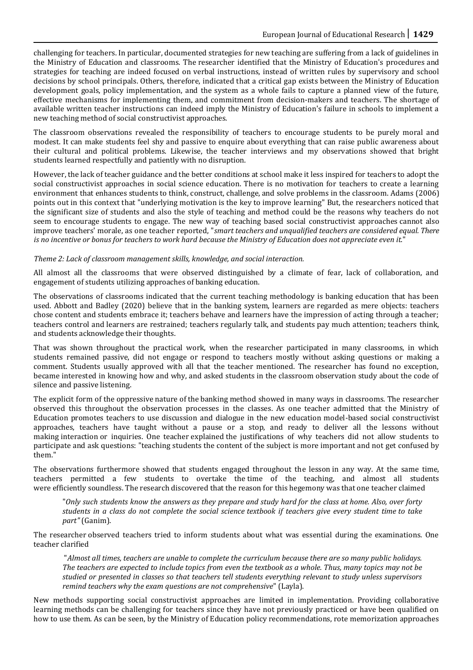challenging for teachers. In particular, documented strategies for new teaching are suffering from a lack of guidelines in the Ministry of Education and classrooms. The researcher identified that the Ministry of Education's procedures and strategies for teaching are indeed focused on verbal instructions, instead of written rules by supervisory and school decisions by school principals. Others, therefore, indicated that a critical gap exists between the Ministry of Education development goals, policy implementation, and the system as a whole fails to capture a planned view of the future, effective mechanisms for implementing them, and commitment from decision-makers and teachers. The shortage of available written teacher instructions can indeed imply the Ministry of Education's failure in schools to implement a new teaching method of social constructivist approaches.

The classroom observations revealed the responsibility of teachers to encourage students to be purely moral and modest. It can make students feel shy and passive to enquire about everything that can raise public awareness about their cultural and political problems. Likewise, the teacher interviews and my observations showed that bright students learned respectfully and patiently with no disruption.

However, the lack of teacher guidance and the better conditions at school make it less inspired for teachers to adopt the social constructivist approaches in social science education. There is no motivation for teachers to create a learning environment that enhances students to think, construct, challenge, and solve problems in the classroom. Adams (2006) points out in this context that "underlying motivation is the key to improve learning" But, the researchers noticed that the significant size of students and also the style of teaching and method could be the reasons why teachers do not seem to encourage students to engage. The new way of teaching based social constructivist approaches cannot also improve teachers' morale, as one teacher reported, "*smart teachers and unqualified teachers are considered equal. There is no incentive or bonus for teachers to work hard because the Ministry of Education does not appreciate even it.*"

# *Theme 2: Lack of classroom management skills, knowledge, and social interaction.*

All almost all the classrooms that were observed distinguished by a climate of fear, lack of collaboration, and engagement of students utilizing approaches of banking education.

The observations of classrooms indicated that the current teaching methodology is banking education that has been used. Abbott and Badley (2020) believe that in the banking system, learners are regarded as mere objects: teachers chose content and students embrace it; teachers behave and learners have the impression of acting through a teacher; teachers control and learners are restrained; teachers regularly talk, and students pay much attention; teachers think, and students acknowledge their thoughts.

That was shown throughout the practical work, when the researcher participated in many classrooms, in which students remained passive, did not engage or respond to teachers mostly without asking questions or making a comment. Students usually approved with all that the teacher mentioned. The researcher has found no exception, became interested in knowing how and why, and asked students in the classroom observation study about the code of silence and passive listening.

The explicit form of the oppressive nature of the banking method showed in many ways in classrooms. The researcher observed this throughout the observation processes in the classes. As one teacher admitted that the Ministry of Education promotes teachers to use discussion and dialogue in the new education model-based social constructivist approaches, teachers have taught without a pause or a stop, and ready to deliver all the lessons without making interaction or inquiries. One teacher explained the justifications of why teachers did not allow students to participate and ask questions: "teaching students the content of the subject is more important and not get confused by them."

The observations furthermore showed that students engaged throughout the lesson in any way. At the same time, teachers permitted a few students to overtake the time of the teaching, and almost all students were efficiently soundless. The research discovered that the reason for this hegemony was that one teacher claimed

"*Only such students know the answers as they prepare and study hard for the class at home. Also, over forty students in a class do not complete the social science textbook if teachers give every student time to take part"* (Ganim).

The researcher observed teachers tried to inform students about what was essential during the examinations. One teacher clarified

"*Almost all times, teachers are unable to complete the curriculum because there are so many public holidays. The teachers are expected to include topics from even the textbook as a whole. Thus, many topics may not be studied or presented in classes so that teachers tell students everything relevant to study unless supervisors remind teachers why the exam questions are not comprehensive*" (Layla).

New methods supporting social constructivist approaches are limited in implementation. Providing collaborative learning methods can be challenging for teachers since they have not previously practiced or have been qualified on how to use them. As can be seen, by the Ministry of Education policy recommendations, rote memorization approaches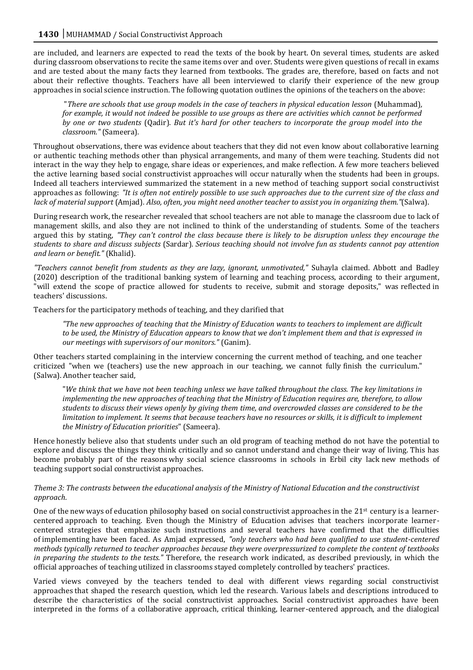are included, and learners are expected to read the texts of the book by heart. On several times, students are asked during classroom observations to recite the same items over and over. Students were given questions of recall in exams and are tested about the many facts they learned from textbooks. The grades are, therefore, based on facts and not about their reflective thoughts. Teachers have all been interviewed to clarify their experience of the new group approaches in social science instruction. The following quotation outlines the opinions of the teachers on the above:

"*There are schools that use group models in the case of teachers in physical education lesson* (Muhammad)*, for example, it would not indeed be possible to use groups as there are activities which cannot be performed by one or two students* (Qadir)*. But it's hard for other teachers to incorporate the group model into the classroom."* (Sameera)*.*

Throughout observations, there was evidence about teachers that they did not even know about collaborative learning or authentic teaching methods other than physical arrangements, and many of them were teaching. Students did not interact in the way they help to engage, share ideas or experiences, and make reflection. A few more teachers believed the active learning based social constructivist approaches will occur naturally when the students had been in groups. Indeed all teachers interviewed summarized the statement in a new method of teaching support social constructivist approaches as following: *"It is often not entirely possible to use such approaches due to the current size of the class and lack of material support* (Amjad)*. Also, often, you might need another teacher to assist you in organizing them."*(Salwa).

During research work, the researcher revealed that school teachers are not able to manage the classroom due to lack of management skills, and also they are not inclined to think of the understanding of students. Some of the teachers argued this by stating, *"They can't control the class because there is likely to be disruption unless they encourage the students to share and discuss subjects* (Sardar)*. Serious teaching should not involve fun as students cannot pay attention and learn or benefit."* (Khalid).

*"Teachers cannot benefit from students as they are lazy, ignorant, unmotivated,"* Suhayla claimed. Abbott and Badley (2020) description of the traditional banking system of learning and teaching process, according to their argument, "will extend the scope of practice allowed for students to receive, submit and storage deposits," was reflected in teachers' discussions.

Teachers for the participatory methods of teaching, and they clarified that

*"The new approaches of teaching that the Ministry of Education wants to teachers to implement are difficult to be used, the Ministry of Education appears to know that we don't implement them and that is expressed in our meetings with supervisors of our monitors."* (Ganim).

Other teachers started complaining in the interview concerning the current method of teaching, and one teacher criticized "when we (teachers) use the new approach in our teaching, we cannot fully finish the curriculum." (Salwa). Another teacher said,

"*We think that we have not been teaching unless we have talked throughout the class. The key limitations in implementing the new approaches of teaching that the Ministry of Education requires are, therefore, to allow students to discuss their views openly by giving them time, and overcrowded classes are considered to be the limitation to implement. It seems that because teachers have no resources or skills, it is difficult to implement the Ministry of Education priorities*" (Sameera).

Hence honestly believe also that students under such an old program of teaching method do not have the potential to explore and discuss the things they think critically and so cannot understand and change their way of living. This has become probably part of the reasons why social science classrooms in schools in Erbil city lack new methods of teaching support social constructivist approaches.

# *Theme 3: The contrasts between the educational analysis of the Ministry of National Education and the constructivist approach.*

One of the new ways of education philosophy based on social constructivist approaches in the  $21^{st}$  century is a learnercentered approach to teaching. Even though the Ministry of Education advises that teachers incorporate learnercentered strategies that emphasize such instructions and several teachers have confirmed that the difficulties of implementing have been faced. As Amjad expressed, *"only teachers who had been qualified to use student-centered methods typically returned to teacher approaches because they were overpressurized to complete the content of textbooks in preparing the students to the tests."* Therefore, the research work indicated, as described previously, in which the official approaches of teaching utilized in classrooms stayed completely controlled by teachers' practices.

Varied views conveyed by the teachers tended to deal with different views regarding social constructivist approaches that shaped the research question, which led the research. Various labels and descriptions introduced to describe the characteristics of the social constructivist approaches. Social constructivist approaches have been interpreted in the forms of a collaborative approach, critical thinking, learner-centered approach, and the dialogical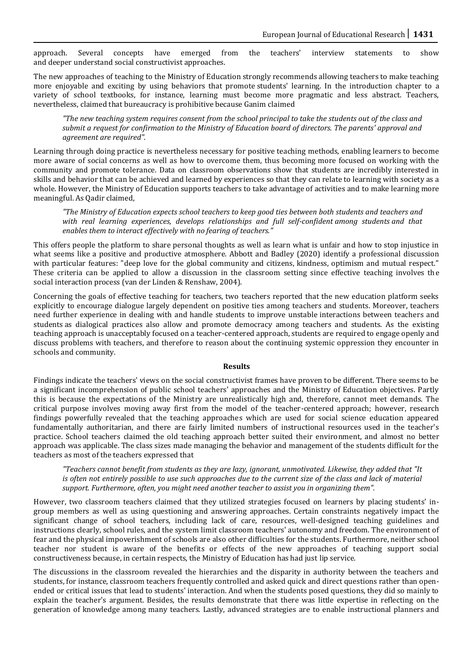approach. Several concepts have emerged from the teachers' interview statements to show and deeper understand social constructivist approaches.

The new approaches of teaching to the Ministry of Education strongly recommends allowing teachers to make teaching more enjoyable and exciting by using behaviors that promote students' learning. In the introduction chapter to a variety of school textbooks, for instance, learning must become more pragmatic and less abstract. Teachers, nevertheless, claimed that bureaucracy is prohibitive because Ganim claimed

*"The new teaching system requires consent from the school principal to take the students out of the class and submit a request for confirmation to the Ministry of Education board of directors. The parents' approval and agreement are required".*

Learning through doing practice is nevertheless necessary for positive teaching methods, enabling learners to become more aware of social concerns as well as how to overcome them, thus becoming more focused on working with the community and promote tolerance. Data on classroom observations show that students are incredibly interested in skills and behavior that can be achieved and learned by experiences so that they can relate to learning with society as a whole. However, the Ministry of Education supports teachers to take advantage of activities and to make learning more meaningful. As Qadir claimed,

*"The Ministry of Education expects school teachers to keep good ties between both students and teachers and with real learning experiences, develops relationships and full self-confident among students and that enables them to interact effectively with no fearing of teachers."*

This offers people the platform to share personal thoughts as well as learn what is unfair and how to stop injustice in what seems like a positive and productive atmosphere. Abbott and Badley (2020) identify a professional discussion with particular features: "deep love for the global community and citizens, kindness, optimism and mutual respect." These criteria can be applied to allow a discussion in the classroom setting since effective teaching involves the social interaction process (van der Linden & Renshaw, 2004).

Concerning the goals of effective teaching for teachers, two teachers reported that the new education platform seeks explicitly to encourage dialogue largely dependent on positive ties among teachers and students. Moreover, teachers need further experience in dealing with and handle students to improve unstable interactions between teachers and students as dialogical practices also allow and promote democracy among teachers and students. As the existing teaching approach is unacceptably focused on a teacher-centered approach, students are required to engage openly and discuss problems with teachers, and therefore to reason about the continuing systemic oppression they encounter in schools and community.

#### **Results**

Findings indicate the teachers' views on the social constructivist frames have proven to be different. There seems to be a significant incomprehension of public school teachers' approaches and the Ministry of Education objectives. Partly this is because the expectations of the Ministry are unrealistically high and, therefore, cannot meet demands. The critical purpose involves moving away first from the model of the teacher-centered approach; however, research findings powerfully revealed that the teaching approaches which are used for social science education appeared fundamentally authoritarian, and there are fairly limited numbers of instructional resources used in the teacher's practice. School teachers claimed the old teaching approach better suited their environment, and almost no better approach was applicable. The class sizes made managing the behavior and management of the students difficult for the teachers as most of the teachers expressed that

*"Teachers cannot benefit from students as they are lazy, ignorant, unmotivated. Likewise, they added that "It is often not entirely possible to use such approaches due to the current size of the class and lack of material support. Furthermore, often, you might need another teacher to assist you in organizing them".* 

However, two classroom teachers claimed that they utilized strategies focused on learners by placing students' ingroup members as well as using questioning and answering approaches. Certain constraints negatively impact the significant change of school teachers, including lack of care, resources, well-designed teaching guidelines and instructions clearly, school rules, and the system limit classroom teachers' autonomy and freedom. The environment of fear and the physical impoverishment of schools are also other difficulties for the students. Furthermore, neither school teacher nor student is aware of the benefits or effects of the new approaches of teaching support social constructiveness because, in certain respects, the Ministry of Education has had just lip service.

The discussions in the classroom revealed the hierarchies and the disparity in authority between the teachers and students, for instance, classroom teachers frequently controlled and asked quick and direct questions rather than openended or critical issues that lead to students' interaction. And when the students posed questions, they did so mainly to explain the teacher's argument. Besides, the results demonstrate that there was little expertise in reflecting on the generation of knowledge among many teachers. Lastly, advanced strategies are to enable instructional planners and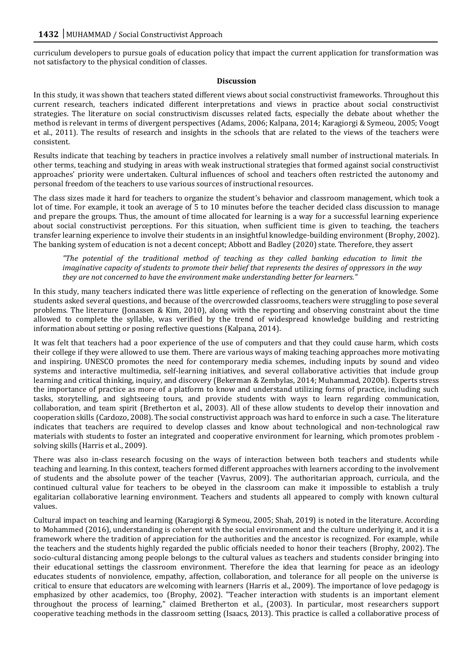curriculum developers to pursue goals of education policy that impact the current application for transformation was not satisfactory to the physical condition of classes.

#### **Discussion**

In this study, it was shown that teachers stated different views about social constructivist frameworks. Throughout this current research, teachers indicated different interpretations and views in practice about social constructivist strategies. The literature on social constructivism discusses related facts, especially the debate about whether the method is relevant in terms of divergent perspectives (Adams, 2006; Kalpana, 2014; Karagiorgi & Symeou, 2005; Voogt et al., 2011). The results of research and insights in the schools that are related to the views of the teachers were consistent.

Results indicate that teaching by teachers in practice involves a relatively small number of instructional materials. In other terms, teaching and studying in areas with weak instructional strategies that formed against social constructivist approaches' priority were undertaken. Cultural influences of school and teachers often restricted the autonomy and personal freedom of the teachers to use various sources of instructional resources.

The class sizes made it hard for teachers to organize the student's behavior and classroom management, which took a lot of time. For example, it took an average of 5 to 10 minutes before the teacher decided class discussion to manage and prepare the groups. Thus, the amount of time allocated for learning is a way for a successful learning experience about social constructivist perceptions. For this situation, when sufficient time is given to teaching, the teachers transfer learning experience to involve their students in an insightful knowledge-building environment (Brophy, 2002). The banking system of education is not a decent concept; Abbott and Badley (2020) state. Therefore, they assert

*"The potential of the traditional method of teaching as they called banking education to limit the imaginative capacity of students to promote their belief that represents the desires of oppressors in the way they are not concerned to have the environment make understanding better for learners."*

In this study, many teachers indicated there was little experience of reflecting on the generation of knowledge. Some students asked several questions, and because of the overcrowded classrooms, teachers were struggling to pose several problems. The literature (Jonassen & Kim, 2010), along with the reporting and observing constraint about the time allowed to complete the syllable, was verified by the trend of widespread knowledge building and restricting information about setting or posing reflective questions (Kalpana, 2014).

It was felt that teachers had a poor experience of the use of computers and that they could cause harm, which costs their college if they were allowed to use them. There are various ways of making teaching approaches more motivating and inspiring. UNESCO promotes the need for contemporary media schemes, including inputs by sound and video systems and interactive multimedia, self-learning initiatives, and several collaborative activities that include group learning and critical thinking, inquiry, and discovery (Bekerman & Zembylas, 2014; Muhammad, 2020b). Experts stress the importance of practice as more of a platform to know and understand utilizing forms of practice, including such tasks, storytelling, and sightseeing tours, and provide students with ways to learn regarding communication, collaboration, and team spirit (Bretherton et al., 2003). All of these allow students to develop their innovation and cooperation skills (Cardozo, 2008). The social constructivist approach was hard to enforce in such a case. The literature indicates that teachers are required to develop classes and know about technological and non-technological raw materials with students to foster an integrated and cooperative environment for learning, which promotes problem solving skills (Harris et al., 2009).

There was also in-class research focusing on the ways of interaction between both teachers and students while teaching and learning. In this context, teachers formed different approaches with learners according to the involvement of students and the absolute power of the teacher (Vavrus, 2009). The authoritarian approach, curricula, and the continued cultural value for teachers to be obeyed in the classroom can make it impossible to establish a truly egalitarian collaborative learning environment. Teachers and students all appeared to comply with known cultural values.

Cultural impact on teaching and learning (Karagiorgi & Symeou, 2005; Shah, 2019) is noted in the literature. According to Mohammed (2016), understanding is coherent with the social environment and the culture underlying it, and it is a framework where the tradition of appreciation for the authorities and the ancestor is recognized. For example, while the teachers and the students highly regarded the public officials needed to honor their teachers (Brophy, 2002). The socio-cultural distancing among people belongs to the cultural values as teachers and students consider bringing into their educational settings the classroom environment. Therefore the idea that learning for peace as an ideology educates students of nonviolence, empathy, affection, collaboration, and tolerance for all people on the universe is critical to ensure that educators are welcoming with learners (Harris et al., 2009). The importance of love pedagogy is emphasized by other academics, too (Brophy, 2002). "Teacher interaction with students is an important element throughout the process of learning," claimed Bretherton et al., (2003). In particular, most researchers support cooperative teaching methods in the classroom setting (Isaacs, 2013). This practice is called a collaborative process of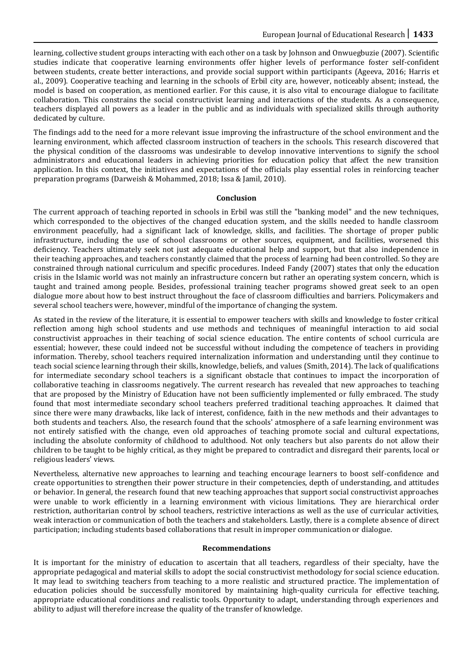learning, collective student groups interacting with each other on a task by Johnson and Onwuegbuzie (2007). Scientific studies indicate that cooperative learning environments offer higher levels of performance foster self-confident between students, create better interactions, and provide social support within participants (Ageeva, 2016; Harris et al., 2009). Cooperative teaching and learning in the schools of Erbil city are, however, noticeably absent; instead, the model is based on cooperation, as mentioned earlier. For this cause, it is also vital to encourage dialogue to facilitate collaboration. This constrains the social constructivist learning and interactions of the students. As a consequence, teachers displayed all powers as a leader in the public and as individuals with specialized skills through authority dedicated by culture.

The findings add to the need for a more relevant issue improving the infrastructure of the school environment and the learning environment, which affected classroom instruction of teachers in the schools. This research discovered that the physical condition of the classrooms was undesirable to develop innovative interventions to signify the school administrators and educational leaders in achieving priorities for education policy that affect the new transition application. In this context, the initiatives and expectations of the officials play essential roles in reinforcing teacher preparation programs (Darweish & Mohammed, 2018; Issa & Jamil, 2010).

#### **Conclusion**

The current approach of teaching reported in schools in Erbil was still the "banking model" and the new techniques, which corresponded to the objectives of the changed education system, and the skills needed to handle classroom environment peacefully, had a significant lack of knowledge, skills, and facilities. The shortage of proper public infrastructure, including the use of school classrooms or other sources, equipment, and facilities, worsened this deficiency. Teachers ultimately seek not just adequate educational help and support, but that also independence in their teaching approaches, and teachers constantly claimed that the process of learning had been controlled. So they are constrained through national curriculum and specific procedures. Indeed Fandy (2007) states that only the education crisis in the Islamic world was not mainly an infrastructure concern but rather an operating system concern, which is taught and trained among people. Besides, professional training teacher programs showed great seek to an open dialogue more about how to best instruct throughout the face of classroom difficulties and barriers. Policymakers and several school teachers were, however, mindful of the importance of changing the system.

As stated in the review of the literature, it is essential to empower teachers with skills and knowledge to foster critical reflection among high school students and use methods and techniques of meaningful interaction to aid social constructivist approaches in their teaching of social science education. The entire contents of school curricula are essential; however, these could indeed not be successful without including the competence of teachers in providing information. Thereby, school teachers required internalization information and understanding until they continue to teach social science learning through their skills, knowledge, beliefs, and values (Smith, 2014). The lack of qualifications for intermediate secondary school teachers is a significant obstacle that continues to impact the incorporation of collaborative teaching in classrooms negatively. The current research has revealed that new approaches to teaching that are proposed by the Ministry of Education have not been sufficiently implemented or fully embraced. The study found that most intermediate secondary school teachers preferred traditional teaching approaches. It claimed that since there were many drawbacks, like lack of interest, confidence, faith in the new methods and their advantages to both students and teachers. Also, the research found that the schools' atmosphere of a safe learning environment was not entirely satisfied with the change, even old approaches of teaching promote social and cultural expectations, including the absolute conformity of childhood to adulthood. Not only teachers but also parents do not allow their children to be taught to be highly critical, as they might be prepared to contradict and disregard their parents, local or religious leaders' views.

Nevertheless, alternative new approaches to learning and teaching encourage learners to boost self-confidence and create opportunities to strengthen their power structure in their competencies, depth of understanding, and attitudes or behavior. In general, the research found that new teaching approaches that support social constructivist approaches were unable to work efficiently in a learning environment with vicious limitations. They are hierarchical order restriction, authoritarian control by school teachers, restrictive interactions as well as the use of curricular activities, weak interaction or communication of both the teachers and stakeholders. Lastly, there is a complete absence of direct participation; including students based collaborations that result in improper communication or dialogue.

#### **Recommendations**

It is important for the ministry of education to ascertain that all teachers, regardless of their specialty, have the appropriate pedagogical and material skills to adopt the social constructivist methodology for social science education. It may lead to switching teachers from teaching to a more realistic and structured practice. The implementation of education policies should be successfully monitored by maintaining high-quality curricula for effective teaching, appropriate educational conditions and realistic tools. Opportunity to adapt, understanding through experiences and ability to adjust will therefore increase the quality of the transfer of knowledge.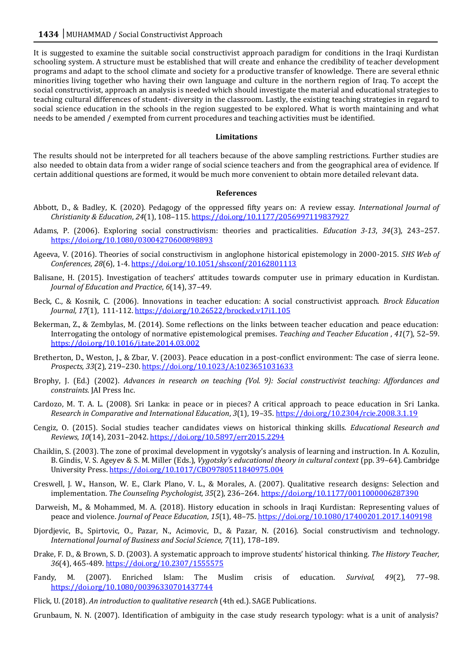It is suggested to examine the suitable social constructivist approach paradigm for conditions in the Iraqi Kurdistan schooling system. A structure must be established that will create and enhance the credibility of teacher development programs and adapt to the school climate and society for a productive transfer of knowledge. There are several ethnic minorities living together who having their own language and culture in the northern region of Iraq. To accept the social constructivist, approach an analysis is needed which should investigate the material and educational strategies to teaching cultural differences of student- diversity in the classroom. Lastly, the existing teaching strategies in regard to social science education in the schools in the region suggested to be explored. What is worth maintaining and what needs to be amended / exempted from current procedures and teaching activities must be identified.

#### **Limitations**

The results should not be interpreted for all teachers because of the above sampling restrictions. Further studies are also needed to obtain data from a wider range of social science teachers and from the geographical area of evidence. If certain additional questions are formed, it would be much more convenient to obtain more detailed relevant data.

#### **References**

- Abbott, D., & Badley, K. (2020). Pedagogy of the oppressed fifty years on: A review essay. *International Journal of Christianity & Education*, *24*(1), 108–115[. https://doi.org/10.1177/2056997119837927](https://doi.org/10.1177/2056997119837927)
- Adams, P. (2006). Exploring social constructivism: theories and practicalities. *Education 3-13*, *34*(3), 243–257. <https://doi.org/10.1080/03004270600898893>
- Ageeva, V. (2016). Theories of social constructivism in anglophone historical epistemology in 2000-2015. *SHS Web of Conferences, 28*(6), 1-4[. https://doi.org/10.1051/shsconf/20162801113](https://doi.org/10.1051/shsconf/20162801113)
- Balisane, H. (2015). Investigation of teachers' attitudes towards computer use in primary education in Kurdistan. *Journal of Education and Practice*, *6*(14), 37–49.
- Beck, C., & Kosnik, C. (2006). Innovations in teacher education: A social constructivist approach. *Brock Education Journal, 17*(1), 111-112.<https://doi.org/10.26522/brocked.v17i1.105>
- Bekerman, Z., & Zembylas, M. (2014). Some reflections on the links between teacher education and peace education: Interrogating the ontology of normative epistemological premises. *Teaching and Teacher Education* , *41*(7), 52–59. <https://doi.org/10.1016/j.tate.2014.03.002>
- Bretherton, D., Weston, J., & Zbar, V. (2003). Peace education in a post-conflict environment: The case of sierra leone. *Prospects, 33*(2), 219–230[. https://doi.org/10.1023/A:1023651031633](https://doi.org/10.1023/A:1023651031633)
- Brophy, J. (Ed.) (2002). *Advances in research on teaching (Vol. 9): Social constructivist teaching: Affordances and constraints.* JAI Press Inc.
- Cardozo, M. T. A. L. (2008). Sri Lanka: in peace or in pieces? A critical approach to peace education in Sri Lanka. *Research in Comparative and International Education*, *3*(1), 19–35.<https://doi.org/10.2304/rcie.2008.3.1.19>
- Cengiz, O. (2015). Social studies teacher candidates views on historical thinking skills. *Educational Research and Reviews*, *10*(14), 2031–2042[. https://doi.org/10.5897/err2015.2294](https://doi.org/10.5897/err2015.2294)
- Chaiklin, S. (2003). The zone of proximal development in vygotsky's analysis of learning and instruction. In A. Kozulin, B. Gindis, V. S. Ageyev & S. M. Miller (Eds.), *Vygotsky's educational theory in cultural context* (pp. 39–64). Cambridge University Press.<https://doi.org/10.1017/CBO9780511840975.004>
- Creswell, J. W., Hanson, W. E., Clark Plano, V. L., & Morales, A. (2007). Qualitative research designs: Selection and implementation. *The Counseling Psychologist, 35*(2), 236–264[. https://doi.org/10.1177/0011000006287390](https://doi.org/10.1177/0011000006287390)
- Darweish, M., & Mohammed, M. A. (2018). History education in schools in Iraqi Kurdistan: Representing values of peace and violence. *Journal of Peace Education*, *15*(1), 48–75[. https://doi.org/10.1080/17400201.2017.1409198](https://doi.org/10.1080/17400201.2017.1409198)
- Djordjevic, B., Spirtovic, O., Pazar, N., Acimovic, D., & Pazar, N. (2016). Social constructivism and technology. *International Journal of Business and Social Science, 7*(11), 178–189.
- Drake, F. D., & Brown, S. D. (2003). A systematic approach to improve students' historical thinking. *The History Teacher, 36*(4), 465-489[. https://doi.org/10.2307/1555575](https://doi.org/10.2307/1555575)
- Fandy, M. (2007). Enriched Islam: The Muslim crisis of education. *Survival, 49*(2), 77–98. <https://doi.org/10.1080/00396330701437744>
- Flick, U. (2018). *An introduction to qualitative research* (4th ed.). SAGE Publications.
- Grunbaum, N. N. (2007). Identification of ambiguity in the case study research typology: what is a unit of analysis?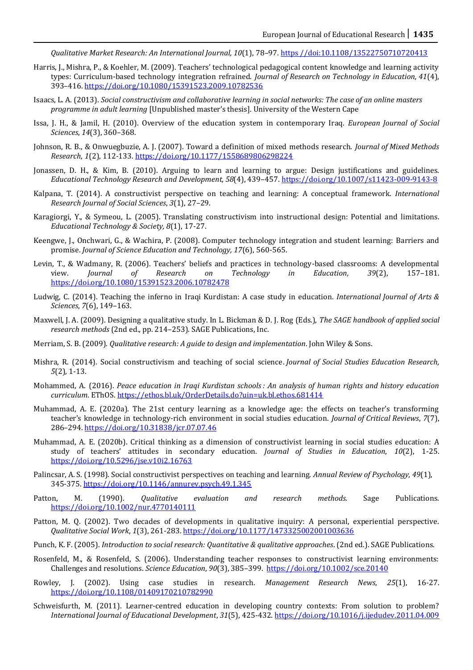*Qualitative Market Research: An International Journal, 10*(1), 78–97. https //doi:10.1108/13522750710720413

- Harris, J., Mishra, P., & Koehler, M. (2009). Teachers' technological pedagogical content knowledge and learning activity types: Curriculum-based technology integration refrained. *Journal of Research on Technology in Education, 41*(4), 393–416[. https://doi.org/10.1080/15391523.2009.10782536](https://doi.org/10.1080/15391523.2009.10782536)
- Isaacs, L. A. (2013). *Social constructivism and collaborative learning in social networks: The case of an online masters programme in adult learning* [Unpublished master's thesis]. University of the Western Cape
- Issa, J. H., & Jamil, H. (2010). Overview of the education system in contemporary Iraq. *European Journal of Social Sciences*, *14*(3), 360–368.
- Johnson, R. B., & Onwuegbuzie, A. J. (2007). Toward a definition of mixed methods research. *Journal of Mixed Methods Research*, *1*(2), 112-133[. https://doi.org/10.1177/1558689806298224](https://doi.org/10.1177/1558689806298224)
- Jonassen, D. H., & Kim, B. (2010). Arguing to learn and learning to argue: Design justifications and guidelines. *Educational Technology Research and Development, 58*(4), 439–457[. https://doi.org/10.1007/s11423-009-9143-8](https://doi.org/10.1007/s11423-009-9143-8)
- Kalpana, T. (2014). A constructivist perspective on teaching and learning: A conceptual framework. *International Research Journal of Social Sciences*, *3*(1), 27–29.
- Karagiorgi, Y., & Symeou, L. (2005). Translating constructivism into instructional design: Potential and limitations. *Educational Technology & Society, 8*(1), 17-27.
- Keengwe, J., Onchwari, G., & Wachira, P. (2008). Computer technology integration and student learning: Barriers and promise. *Journal of Science Education and Technology, 17*(6), 560-565.
- Levin, T., & Wadmany, R. (2006). Teachers' beliefs and practices in technology-based classrooms: A developmental view. *Journal of Research on Technology in Education, 39*(2), 157–181. <https://doi.org/10.1080/15391523.2006.10782478>
- Ludwig, C. (2014). Teaching the inferno in Iraqi Kurdistan: A case study in education. *International Journal of Arts & Sciences*, *7*(6), 149–163.
- Maxwell, J. A. (2009). Designing a qualitative study. In L. Bickman & D. J. Rog (Eds.), *The SAGE handbook of applied social research methods* (2nd ed., pp. 214–253). SAGE Publications, Inc.
- Merriam, S. B. (2009). *Qualitative research: A guide to design and implementation*. John Wiley & Sons.
- Mishra, R. (2014). Social constructivism and teaching of social science. *Journal of Social Studies Education Research, 5*(2), 1-13.
- Mohammed, A. (2016). *Peace education in Iraqi Kurdistan schools : An analysis of human rights and history education curriculum*. EThOS[. https://ethos.bl.uk/OrderDetails.do?uin=uk.bl.ethos.681414](https://ethos.bl.uk/OrderDetails.do?uin=uk.bl.ethos.681414)
- Muhammad, A. E. (2020a). The 21st century learning as a knowledge age: the effects on teacher's transforming teacher's knowledge in technology-rich environment in social studies education. *Journal of Critical Reviews*, *7*(7), 286–294[. https://doi.org/10.31838/jcr.07.07.46](https://doi.org/10.31838/jcr.07.07.46)
- Muhammad, A. E. (2020b). Critical thinking as a dimension of constructivist learning in social studies education: A study of teachers' attitudes in secondary education. *Journal of Studies in Education*, *10*(2), 1-25. <https://doi.org/10.5296/jse.v10i2.16763>
- Palincsar, A. S. (1998). Social constructivist perspectives on teaching and learning. *Annual Review of Psychology, 49*(1), 345-375[. https://doi.org/10.1146/annurev.psych.49.1.345](https://doi.org/10.1146/annurev.psych.49.1.345)
- Patton, M. (1990). *Qualitative evaluation and research methods.* Sage Publications. <https://doi.org/10.1002/nur.4770140111>
- Patton, M. Q. (2002). Two decades of developments in qualitative inquiry: A personal, experiential perspective. *Qualitative Social Work*, *1*(3), 261-283[. https://doi.org/10.1177/1473325002001003636](https://doi.org/10.1177/1473325002001003636)
- Punch, K. F. (2005). *Introduction to social research: Quantitative & qualitative approaches*. (2nd ed.). SAGE Publications.
- Rosenfeld, M., & Rosenfeld, S. (2006). Understanding teacher responses to constructivist learning environments: Challenges and resolutions. *Science Education*, *90*(3), 385–399.<https://doi.org/10.1002/sce.20140>
- Rowley, J. (2002). Using case studies in research. *Management Research News*, *25*(1), 16-27. <https://doi.org/10.1108/01409170210782990>
- Schweisfurth, M. (2011). Learner-centred education in developing country contexts: From solution to problem? *International Journal of Educational Development*, *31*(5), 425-432[. https://doi.org/10.1016/j.ijedudev.2011.04.009](https://doi.org/10.1016/j.ijedudev.2011.04.009)